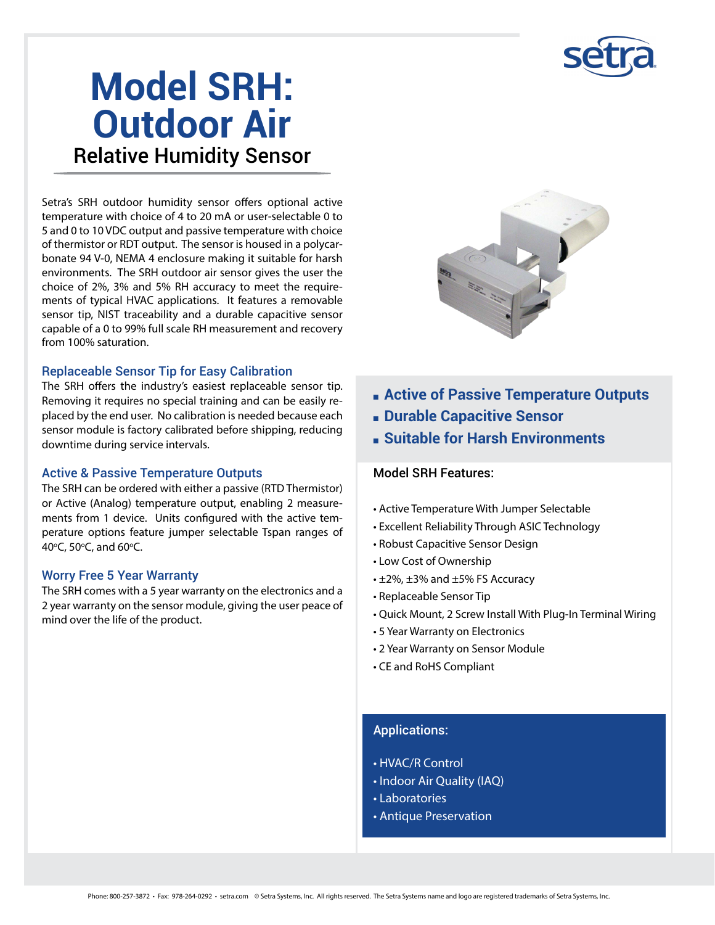## **Model SRH: Outdoor Air** Relative Humidity Sensor

Setra's SRH outdoor humidity sensor offers optional active temperature with choice of 4 to 20 mA or user-selectable 0 to 5 and 0 to 10 VDC output and passive temperature with choice of thermistor or RDT output. The sensor is housed in a polycarbonate 94 V-0, NEMA 4 enclosure making it suitable for harsh environments. The SRH outdoor air sensor gives the user the choice of 2%, 3% and 5% RH accuracy to meet the requirements of typical HVAC applications. It features a removable sensor tip, NIST traceability and a durable capacitive sensor capable of a 0 to 99% full scale RH measurement and recovery from 100% saturation.

#### Replaceable Sensor Tip for Easy Calibration

The SRH offers the industry's easiest replaceable sensor tip. Removing it requires no special training and can be easily replaced by the end user. No calibration is needed because each sensor module is factory calibrated before shipping, reducing downtime during service intervals.

#### Active & Passive Temperature Outputs

The SRH can be ordered with either a passive (RTD Thermistor) or Active (Analog) temperature output, enabling 2 measurements from 1 device. Units configured with the active temperature options feature jumper selectable Tspan ranges of 40°C, 50°C, and 60°C.

#### Worry Free 5 Year Warranty

The SRH comes with a 5 year warranty on the electronics and a 2 year warranty on the sensor module, giving the user peace of mind over the life of the product.



- **Example 2 Active of Passive Temperature Outputs**
- **E** Durable Capacitive Sensor
- **F** Suitable for Harsh Environments

#### Model SRH Features:

- Active Temperature With Jumper Selectable
- Excellent Reliability Through ASIC Technology
- Robust Capacitive Sensor Design
- Low Cost of Ownership
- $\cdot$  ±2%, ±3% and ±5% FS Accuracy
- Replaceable Sensor Tip
- Quick Mount, 2 Screw Install With Plug-In Terminal Wiring
- 5 Year Warranty on Electronics
- 2 Year Warranty on Sensor Module
- CE and RoHS Compliant

#### Applications:

- HVAC/R Control
- Indoor Air Quality (IAQ)
- Laboratories
- Antique Preservation